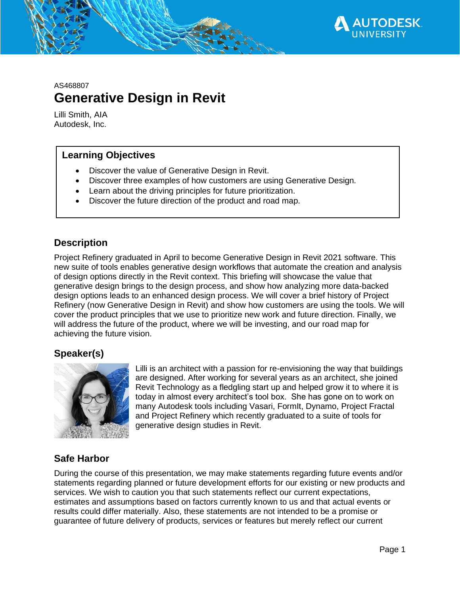

AS468807

# **Generative Design in Revit**

Lilli Smith, AIA Autodesk, Inc.

#### **Learning Objectives**

- Discover the value of Generative Design in Revit.
- Discover three examples of how customers are using Generative Design.
- Learn about the driving principles for future prioritization.
- Discover the future direction of the product and road map.

### **Description**

Project Refinery graduated in April to become Generative Design in Revit 2021 software. This new suite of tools enables generative design workflows that automate the creation and analysis of design options directly in the Revit context. This briefing will showcase the value that generative design brings to the design process, and show how analyzing more data-backed design options leads to an enhanced design process. We will cover a brief history of Project Refinery (now Generative Design in Revit) and show how customers are using the tools. We will cover the product principles that we use to prioritize new work and future direction. Finally, we will address the future of the product, where we will be investing, and our road map for achieving the future vision.

#### **Speaker(s)**



Lilli is an architect with a passion for re-envisioning the way that buildings are designed. After working for several years as an architect, she joined Revit Technology as a fledgling start up and helped grow it to where it is today in almost every architect's tool box. She has gone on to work on many Autodesk tools including Vasari, FormIt, Dynamo, Project Fractal and Project Refinery which recently graduated to a suite of tools for generative design studies in Revit.

### **Safe Harbor**

During the course of this presentation, we may make statements regarding future events and/or statements regarding planned or future development efforts for our existing or new products and services. We wish to caution you that such statements reflect our current expectations, estimates and assumptions based on factors currently known to us and that actual events or results could differ materially. Also, these statements are not intended to be a promise or guarantee of future delivery of products, services or features but merely reflect our current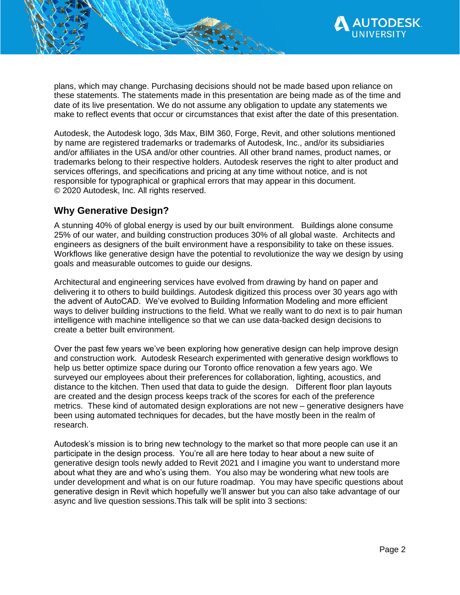

plans, which may change. Purchasing decisions should not be made based upon reliance on these statements. The statements made in this presentation are being made as of the time and date of its live presentation. We do not assume any obligation to update any statements we make to reflect events that occur or circumstances that exist after the date of this presentation.

Autodesk, the Autodesk logo, 3ds Max, BIM 360, Forge, Revit, and other solutions mentioned by name are registered trademarks or trademarks of Autodesk, Inc., and/or its subsidiaries and/or affiliates in the USA and/or other countries. All other brand names, product names, or trademarks belong to their respective holders. Autodesk reserves the right to alter product and services offerings, and specifications and pricing at any time without notice, and is not responsible for typographical or graphical errors that may appear in this document. © 2020 Autodesk, Inc. All rights reserved.

## **Why Generative Design?**

A stunning 40% of global energy is used by our built environment. Buildings alone consume 25% of our water, and building construction produces 30% of all global waste. Architects and engineers as designers of the built environment have a responsibility to take on these issues. Workflows like generative design have the potential to revolutionize the way we design by using goals and measurable outcomes to guide our designs.

Architectural and engineering services have evolved from drawing by hand on paper and delivering it to others to build buildings. Autodesk digitized this process over 30 years ago with the advent of AutoCAD. We've evolved to Building Information Modeling and more efficient ways to deliver building instructions to the field. What we really want to do next is to pair human intelligence with machine intelligence so that we can use data-backed design decisions to create a better built environment.

Over the past few years we've been exploring how generative design can help improve design and construction work. Autodesk Research experimented with generative design workflows to help us better optimize space during our Toronto office renovation a few years ago. We surveyed our employees about their preferences for collaboration, lighting, acoustics, and distance to the kitchen. Then used that data to guide the design. Different floor plan layouts are created and the design process keeps track of the scores for each of the preference metrics. These kind of automated design explorations are not new – generative designers have been using automated techniques for decades, but the have mostly been in the realm of research.

Autodesk's mission is to bring new technology to the market so that more people can use it an participate in the design process. You're all are here today to hear about a new suite of generative design tools newly added to Revit 2021 and I imagine you want to understand more about what they are and who's using them. You also may be wondering what new tools are under development and what is on our future roadmap. You may have specific questions about generative design in Revit which hopefully we'll answer but you can also take advantage of our async and live question sessions.This talk will be split into 3 sections: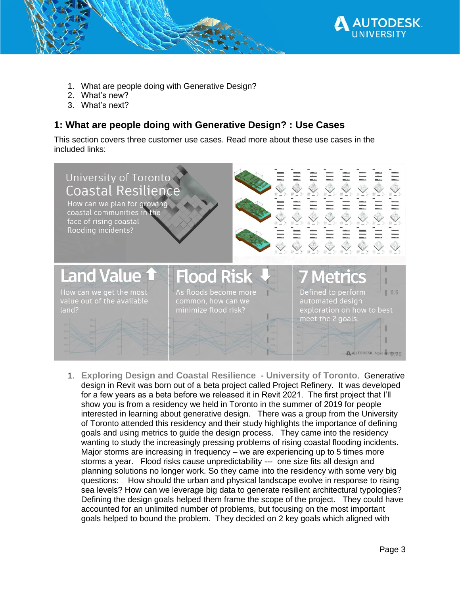

- 1. What are people doing with Generative Design?
- 2. What's new?
- 3. What's next?

## **1: What are people doing with Generative Design? : Use Cases**

This section covers three customer use cases. Read more about these use cases in the included links:



1. **Exploring Design and Coastal Resilience - University of Toronto**. Generative design in Revit was born out of a beta project called Project Refinery. It was developed for a few years as a beta before we released it in Revit 2021. The first project that I'll show you is from a residency we held in Toronto in the summer of 2019 for people interested in learning about generative design. There was a group from the University of Toronto attended this residency and their study highlights the importance of defining goals and using metrics to guide the design process. They came into the residency wanting to study the increasingly pressing problems of rising coastal flooding incidents. Major storms are increasing in frequency – we are experiencing up to 5 times more storms a year. Flood risks cause unpredictability --- one size fits all design and planning solutions no longer work. So they came into the residency with some very big questions: How should the urban and physical landscape evolve in response to rising sea levels? How can we leverage big data to generate resilient architectural typologies? Defining the design goals helped them frame the scope of the project. They could have accounted for an unlimited number of problems, but focusing on the most important goals helped to bound the problem. They decided on 2 key goals which aligned with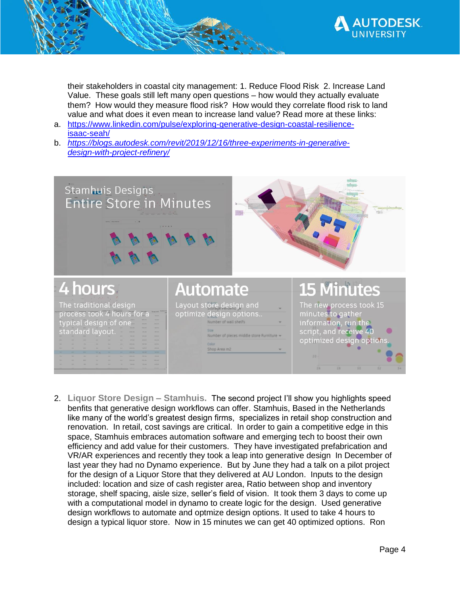

their stakeholders in coastal city management: 1. Reduce Flood Risk 2. Increase Land Value. These goals still left many open questions – how would they actually evaluate them? How would they measure flood risk? How would they correlate flood risk to land value and what does it even mean to increase land value? Read more at these links:

- a. [https://www.linkedin.com/pulse/exploring-generative-design-coastal-resilience](https://www.linkedin.com/pulse/exploring-generative-design-coastal-resilience-isaac-seah/)[isaac-seah/](https://www.linkedin.com/pulse/exploring-generative-design-coastal-resilience-isaac-seah/)
- b. *[https://blogs.autodesk.com/revit/2019/12/16/three-experiments-in-generative](https://blogs.autodesk.com/revit/2019/12/16/three-experiments-in-generative-design-with-project-refinery/)[design-with-project-refinery/](https://blogs.autodesk.com/revit/2019/12/16/three-experiments-in-generative-design-with-project-refinery/)*



2. **Liquor Store Design – Stamhuis.** The second project I'll show you highlights speed benfits that generative design workflows can offer. Stamhuis, Based in the Netherlands like many of the world's greatest design firms, specializes in retail shop construction and renovation. In retail, cost savings are critical. In order to gain a competitive edge in this space, Stamhuis embraces automation software and emerging tech to boost their own efficiency and add value for their customers. They have investigated prefabrication and VR/AR experiences and recently they took a leap into generative design In December of last year they had no Dynamo experience. But by June they had a talk on a pilot project for the design of a Liquor Store that they delivered at AU London. Inputs to the design included: location and size of cash register area, Ratio between shop and inventory storage, shelf spacing, aisle size, seller's field of vision. It took them 3 days to come up with a computational model in dynamo to create logic for the design. Used generative design workflows to automate and optmize design options. It used to take 4 hours to design a typical liquor store. Now in 15 minutes we can get 40 optimized options. Ron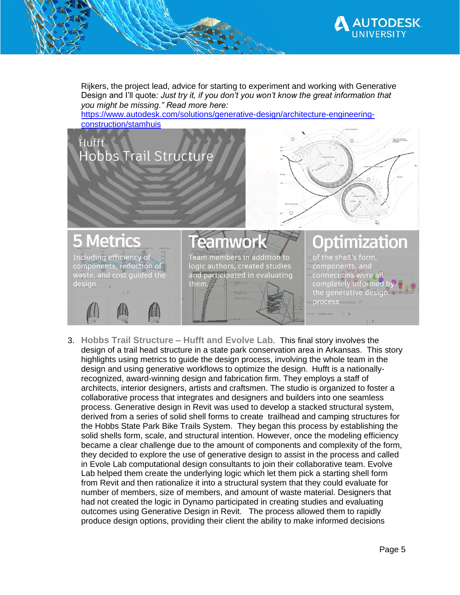

Rijkers, the project lead, advice for starting to experiment and working with Generative Design and I'll quote*: Just try it, if you don't you won't know the great information that you might be missing." Read more here:* 

[https://www.autodesk.com/solutions/generative-design/architecture-engineering](https://www.autodesk.com/solutions/generative-design/architecture-engineering-construction/stamhuis)[construction/stamhuis](https://www.autodesk.com/solutions/generative-design/architecture-engineering-construction/stamhuis)



3. **Hobbs Trail Structure – Hufft and Evolve Lab**. This final story involves the design of a trail head structure in a state park conservation area in Arkansas. This story highlights using metrics to guide the design process, involving the whole team in the design and using generative workflows to optimize the design. Hufft is a nationallyrecognized, award-winning design and fabrication firm. They employs a staff of architects, interior designers, artists and craftsmen. The studio is organized to foster a collaborative process that integrates and designers and builders into one seamless process. Generative design in Revit was used to develop a stacked structural system, derived from a series of solid shell forms to create trailhead and camping structures for the Hobbs State Park Bike Trails System. They began this process by establishing the solid shells form, scale, and structural intention. However, once the modeling efficiency became a clear challenge due to the amount of components and complexity of the form, they decided to explore the use of generative design to assist in the process and called in Evole Lab computational design consultants to join their collaborative team. Evolve Lab helped them create the underlying logic which let them pick a starting shell form from Revit and then rationalize it into a structural system that they could evaluate for number of members, size of members, and amount of waste material. Designers that had not created the logic in Dynamo participated in creating studies and evaluating outcomes using Generative Design in Revit. The process allowed them to rapidly produce design options, providing their client the ability to make informed decisions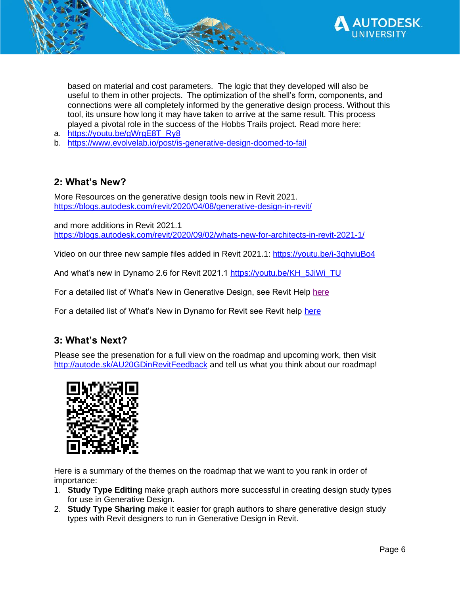

based on material and cost parameters. The logic that they developed will also be useful to them in other projects. The optimization of the shell's form, components, and connections were all completely informed by the generative design process. Without this tool, its unsure how long it may have taken to arrive at the same result. This process played a pivotal role in the success of the Hobbs Trails project. Read more here:

- a. [https://youtu.be/gWrgE8T\\_Ry8](https://youtu.be/gWrgE8T_Ry8)
- b. <https://www.evolvelab.io/post/is-generative-design-doomed-to-fail>

## **2: What's New?**

More Resources on the generative design tools new in Revit 2021. <https://blogs.autodesk.com/revit/2020/04/08/generative-design-in-revit/>

and more additions in Revit 2021.1 <https://blogs.autodesk.com/revit/2020/09/02/whats-new-for-architects-in-revit-2021-1/>

Video on our three new sample files added in Revit 2021.1:<https://youtu.be/i-3qhyiuBo4>

And what's new in Dynamo 2.6 for Revit 2021.1 [https://youtu.be/KH\\_5JiWi\\_TU](https://youtu.be/KH_5JiWi_TU)

For a detailed list of What's New in Generative Design, see Revit Help [here](http://help.autodesk.com/view/RVT/2021/ENU/?guid=GUID-CCDB54F7-B116-48D4-A91D-BEBBBA52AED5)

For a detailed list of What's New in Dynamo for Revit see Revit help [here](http://help.autodesk.com/view/RVT/2021/ENU/?guid=RevitDynamo_Whats_New_in_Dynamo_for_Revit_html)

### **3: What's Next?**

Please see the presenation for a full view on the roadmap and upcoming work, then visit <http://autode.sk/AU20GDinRevitFeedback> and tell us what you think about our roadmap!



Here is a summary of the themes on the roadmap that we want to you rank in order of importance:

- 1. **Study Type Editing** make graph authors more successful in creating design study types for use in Generative Design.
- 2. **Study Type Sharing** make it easier for graph authors to share generative design study types with Revit designers to run in Generative Design in Revit.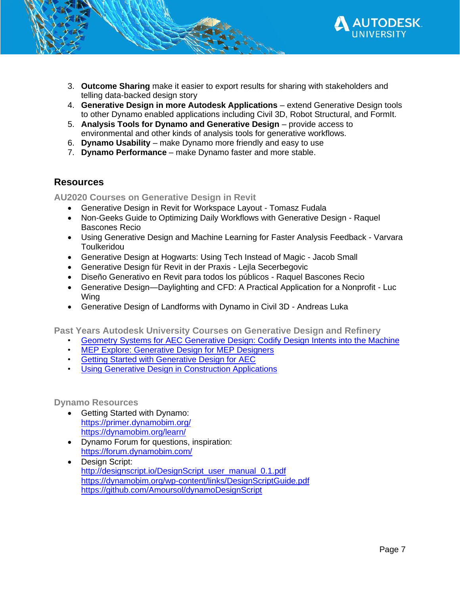

- 3. **Outcome Sharing** make it easier to export results for sharing with stakeholders and telling data-backed design story
- 4. **Generative Design in more Autodesk Applications** extend Generative Design tools to other Dynamo enabled applications including Civil 3D, Robot Structural, and FormIt.
- 5. **Analysis Tools for Dynamo and Generative Design**  provide access to environmental and other kinds of analysis tools for generative workflows.
- 6. **Dynamo Usability**  make Dynamo more friendly and easy to use
- 7. **Dynamo Performance**  make Dynamo faster and more stable.

#### **Resources**

**AU2020 Courses on Generative Design in Revit**

- Generative Design in Revit for Workspace Layout Tomasz Fudala
- Non-Geeks Guide to Optimizing Daily Workflows with Generative Design Raquel Bascones Recio
- Using Generative Design and Machine Learning for Faster Analysis Feedback Varvara **Toulkeridou**
- Generative Design at Hogwarts: Using Tech Instead of Magic Jacob Small
- Generative Design für Revit in der Praxis Lejla Secerbegovic
- Diseño Generativo en Revit para todos los públicos Raquel Bascones Recio
- Generative Design—Daylighting and CFD: A Practical Application for a Nonprofit Luc Wing
- Generative Design of Landforms with Dynamo in Civil 3D Andreas Luka

**Past Years Autodesk University Courses on Generative Design and Refinery**

- [Geometry Systems for AEC Generative Design: Codify Design Intents into the Machine](https://www.autodesk.com/autodesk-university/class/Geometry-Systems-AEC-Generative-Design-Codify-Design-Intents-Machine-2019)
- [MEP Explore: Generative Design for MEP Designers](MEP%20Explore:%20Generative%20Design%20for%20MEP%20Designers)
- [Getting Started with Generative Design for AEC](https://www.autodesk.com/autodesk-university/class/Getting-Started-Generative-Design-AEC-2018)
- [Using Generative Design in Construction Applications](https://www.autodesk.com/autodesk-university/class/Using-Generative-Design-Construction-Applications-2019)

#### **Dynamo Resources**

- Getting Started with Dynamo: <https://primer.dynamobim.org/> <https://dynamobim.org/learn/>
- Dynamo Forum for questions, inspiration: <https://forum.dynamobim.com/>
- Design Script: [http://designscript.io/DesignScript\\_user\\_manual\\_0.1.pdf](http://designscript.io/DesignScript_user_manual_0.1.pdf) <https://dynamobim.org/wp-content/links/DesignScriptGuide.pdf> <https://github.com/Amoursol/dynamoDesignScript>